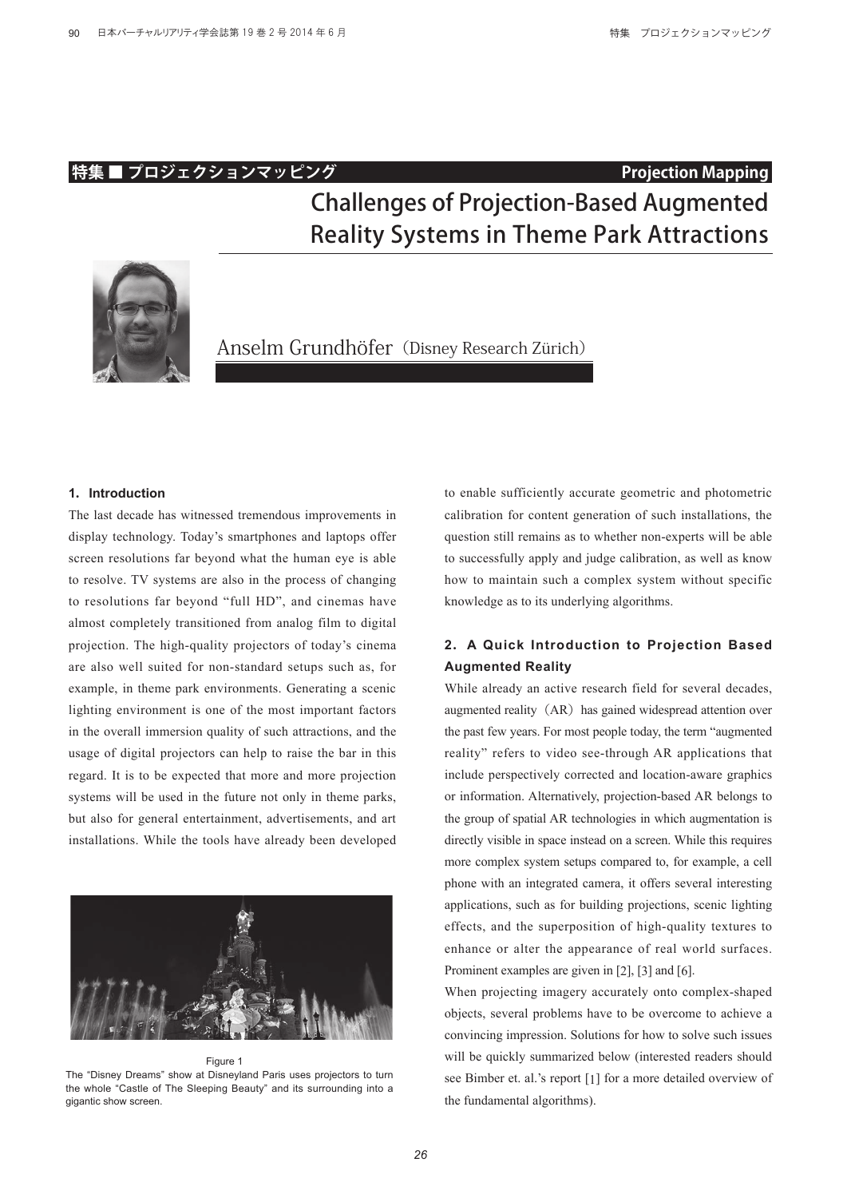# **特集 ■ プロジェクションマッピング Projection Mapping**

# Challenges of Projection-Based Augmented Reality Systems in Theme Park Attractions



Anselm Grundhöfer (Disney Research Zürich)

## **1.Introduction**

The last decade has witnessed tremendous improvements in display technology. Today's smartphones and laptops offer screen resolutions far beyond what the human eye is able to resolve. TV systems are also in the process of changing to resolutions far beyond "full HD", and cinemas have almost completely transitioned from analog film to digital projection. The high-quality projectors of today's cinema are also well suited for non-standard setups such as, for example, in theme park environments. Generating a scenic lighting environment is one of the most important factors in the overall immersion quality of such attractions, and the usage of digital projectors can help to raise the bar in this regard. It is to be expected that more and more projection systems will be used in the future not only in theme parks, but also for general entertainment, advertisements, and art installations. While the tools have already been developed



Figure 1 The "Disney Dreams" show at Disneyland Paris uses projectors to turn the whole "Castle of The Sleeping Beauty" and its surrounding into a gigantic show screen

to enable sufficiently accurate geometric and photometric calibration for content generation of such installations, the question still remains as to whether non-experts will be able to successfully apply and judge calibration, as well as know how to maintain such a complex system without specific knowledge as to its underlying algorithms.

# **2.A Quick Introduction to Projection Based Augmented Reality**

While already an active research field for several decades, augmented reality (AR) has gained widespread attention over the past few years. For most people today, the term "augmented reality" refers to video see-through AR applications that include perspectively corrected and location-aware graphics or information. Alternatively, projection-based AR belongs to the group of spatial AR technologies in which augmentation is directly visible in space instead on a screen. While this requires more complex system setups compared to, for example, a cell phone with an integrated camera, it offers several interesting applications, such as for building projections, scenic lighting effects, and the superposition of high-quality textures to enhance or alter the appearance of real world surfaces. Prominent examples are given in [2], [3] and [6].

When projecting imagery accurately onto complex-shaped objects, several problems have to be overcome to achieve a convincing impression. Solutions for how to solve such issues will be quickly summarized below (interested readers should see Bimber et. al.'s report [1] for a more detailed overview of the fundamental algorithms).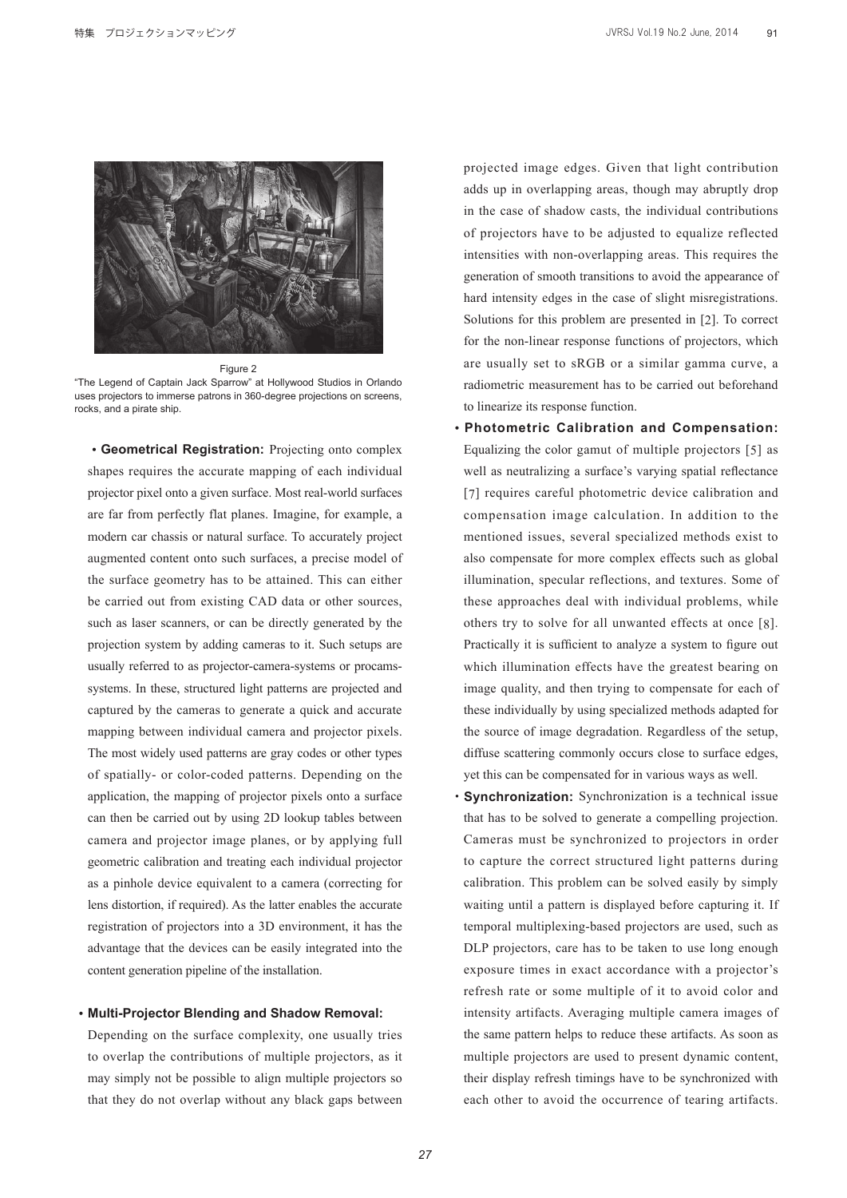

"The Legend of Captain Jack Sparrow" at Hollywood Studios in Orlando uses projectors to immerse patrons in 360-degree projections on screens, rocks, and a pirate ship.

**・Geometrical Registration:** Projecting onto complex shapes requires the accurate mapping of each individual projector pixel onto a given surface. Most real-world surfaces are far from perfectly flat planes. Imagine, for example, a modern car chassis or natural surface. To accurately project augmented content onto such surfaces, a precise model of the surface geometry has to be attained. This can either be carried out from existing CAD data or other sources, such as laser scanners, or can be directly generated by the projection system by adding cameras to it. Such setups are usually referred to as projector-camera-systems or procamssystems. In these, structured light patterns are projected and captured by the cameras to generate a quick and accurate mapping between individual camera and projector pixels. The most widely used patterns are gray codes or other types of spatially- or color-coded patterns. Depending on the application, the mapping of projector pixels onto a surface can then be carried out by using 2D lookup tables between camera and projector image planes, or by applying full geometric calibration and treating each individual projector as a pinhole device equivalent to a camera (correcting for lens distortion, if required). As the latter enables the accurate registration of projectors into a 3D environment, it has the advantage that the devices can be easily integrated into the content generation pipeline of the installation.

#### **・Multi-Projector Blending and Shadow Removal:**

Depending on the surface complexity, one usually tries to overlap the contributions of multiple projectors, as it may simply not be possible to align multiple projectors so that they do not overlap without any black gaps between

91Figure 2 projected image edges. Given that light contribution adds up in overlapping areas, though may abruptly drop in the case of shadow casts, the individual contributions of projectors have to be adjusted to equalize reflected intensities with non-overlapping areas. This requires the generation of smooth transitions to avoid the appearance of hard intensity edges in the case of slight misregistrations. Solutions for this problem are presented in [2]. To correct for the non-linear response functions of projectors, which are usually set to sRGB or a similar gamma curve, a radiometric measurement has to be carried out beforehand to linearize its response function.

- **・Photometric Calibration and Compensation:**  Equalizing the color gamut of multiple projectors [5] as well as neutralizing a surface's varying spatial reflectance [7] requires careful photometric device calibration and compensation image calculation. In addition to the mentioned issues, several specialized methods exist to also compensate for more complex effects such as global illumination, specular reflections, and textures. Some of these approaches deal with individual problems, while others try to solve for all unwanted effects at once [8]. Practically it is sufficient to analyze a system to figure out which illumination effects have the greatest bearing on image quality, and then trying to compensate for each of these individually by using specialized methods adapted for the source of image degradation. Regardless of the setup, diffuse scattering commonly occurs close to surface edges, yet this can be compensated for in various ways as well.
- **・Synchronization:** Synchronization is a technical issue that has to be solved to generate a compelling projection. Cameras must be synchronized to projectors in order to capture the correct structured light patterns during calibration. This problem can be solved easily by simply waiting until a pattern is displayed before capturing it. If temporal multiplexing-based projectors are used, such as DLP projectors, care has to be taken to use long enough exposure times in exact accordance with a projector's refresh rate or some multiple of it to avoid color and intensity artifacts. Averaging multiple camera images of the same pattern helps to reduce these artifacts. As soon as multiple projectors are used to present dynamic content, their display refresh timings have to be synchronized with each other to avoid the occurrence of tearing artifacts.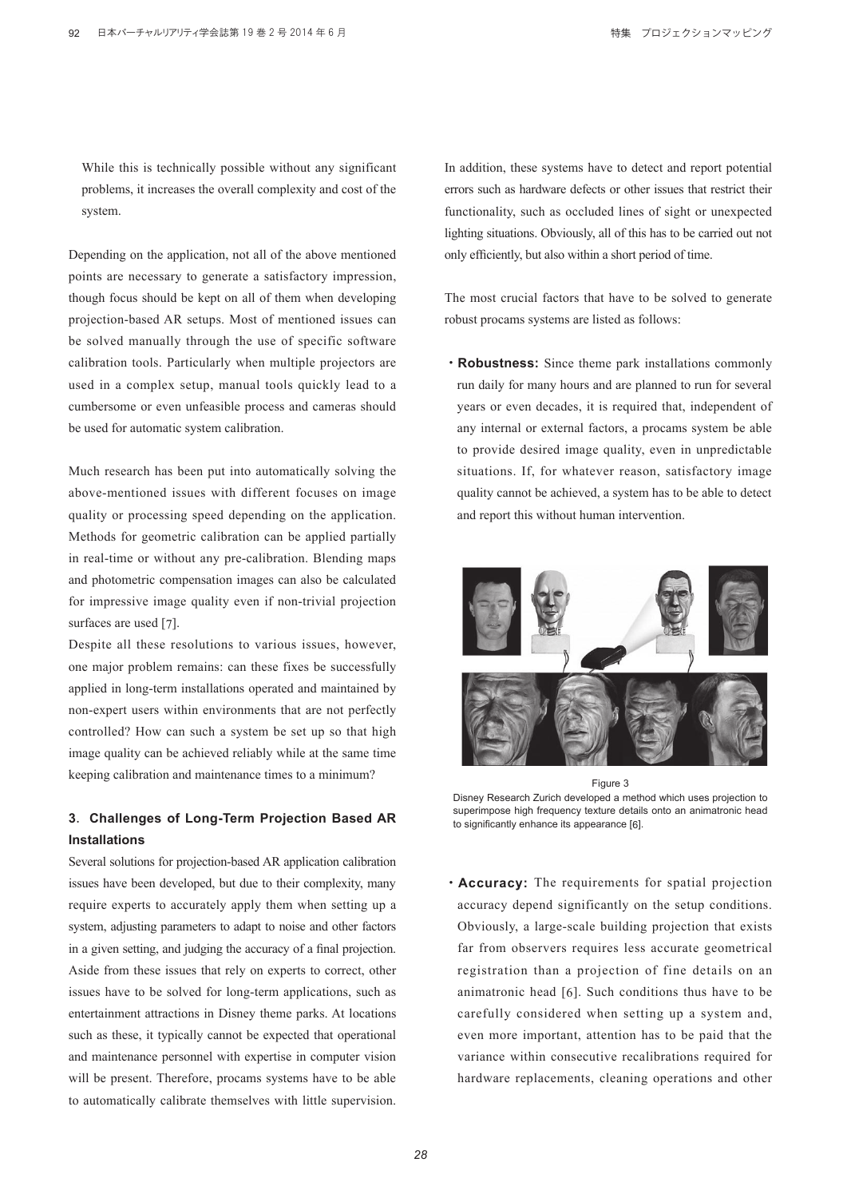While this is technically possible without any significant problems, it increases the overall complexity and cost of the system.

Depending on the application, not all of the above mentioned points are necessary to generate a satisfactory impression, though focus should be kept on all of them when developing projection-based AR setups. Most of mentioned issues can be solved manually through the use of specific software calibration tools. Particularly when multiple projectors are used in a complex setup, manual tools quickly lead to a cumbersome or even unfeasible process and cameras should be used for automatic system calibration.

Much research has been put into automatically solving the above-mentioned issues with different focuses on image quality or processing speed depending on the application. Methods for geometric calibration can be applied partially in real-time or without any pre-calibration. Blending maps and photometric compensation images can also be calculated for impressive image quality even if non-trivial projection surfaces are used [7].

Despite all these resolutions to various issues, however, one major problem remains: can these fixes be successfully applied in long-term installations operated and maintained by non-expert users within environments that are not perfectly controlled? How can such a system be set up so that high image quality can be achieved reliably while at the same time keeping calibration and maintenance times to a minimum?

# **3**.**Challenges of Long-Term Projection Based AR Installations**

Several solutions for projection-based AR application calibration issues have been developed, but due to their complexity, many require experts to accurately apply them when setting up a system, adjusting parameters to adapt to noise and other factors in a given setting, and judging the accuracy of a final projection. Aside from these issues that rely on experts to correct, other issues have to be solved for long-term applications, such as entertainment attractions in Disney theme parks. At locations such as these, it typically cannot be expected that operational and maintenance personnel with expertise in computer vision will be present. Therefore, procams systems have to be able to automatically calibrate themselves with little supervision.

In addition, these systems have to detect and report potential errors such as hardware defects or other issues that restrict their functionality, such as occluded lines of sight or unexpected lighting situations. Obviously, all of this has to be carried out not only efficiently, but also within a short period of time.

The most crucial factors that have to be solved to generate robust procams systems are listed as follows:

**・Robustness:** Since theme park installations commonly run daily for many hours and are planned to run for several years or even decades, it is required that, independent of any internal or external factors, a procams system be able to provide desired image quality, even in unpredictable situations. If, for whatever reason, satisfactory image quality cannot be achieved, a system has to be able to detect and report this without human intervention.



Figure 3 Disney Research Zurich developed a method which uses projection to superimpose high frequency texture details onto an animatronic head to significantly enhance its appearance [6].

**・Accuracy:** The requirements for spatial projection accuracy depend significantly on the setup conditions. Obviously, a large-scale building projection that exists far from observers requires less accurate geometrical registration than a projection of fine details on an animatronic head [6]. Such conditions thus have to be carefully considered when setting up a system and, even more important, attention has to be paid that the variance within consecutive recalibrations required for hardware replacements, cleaning operations and other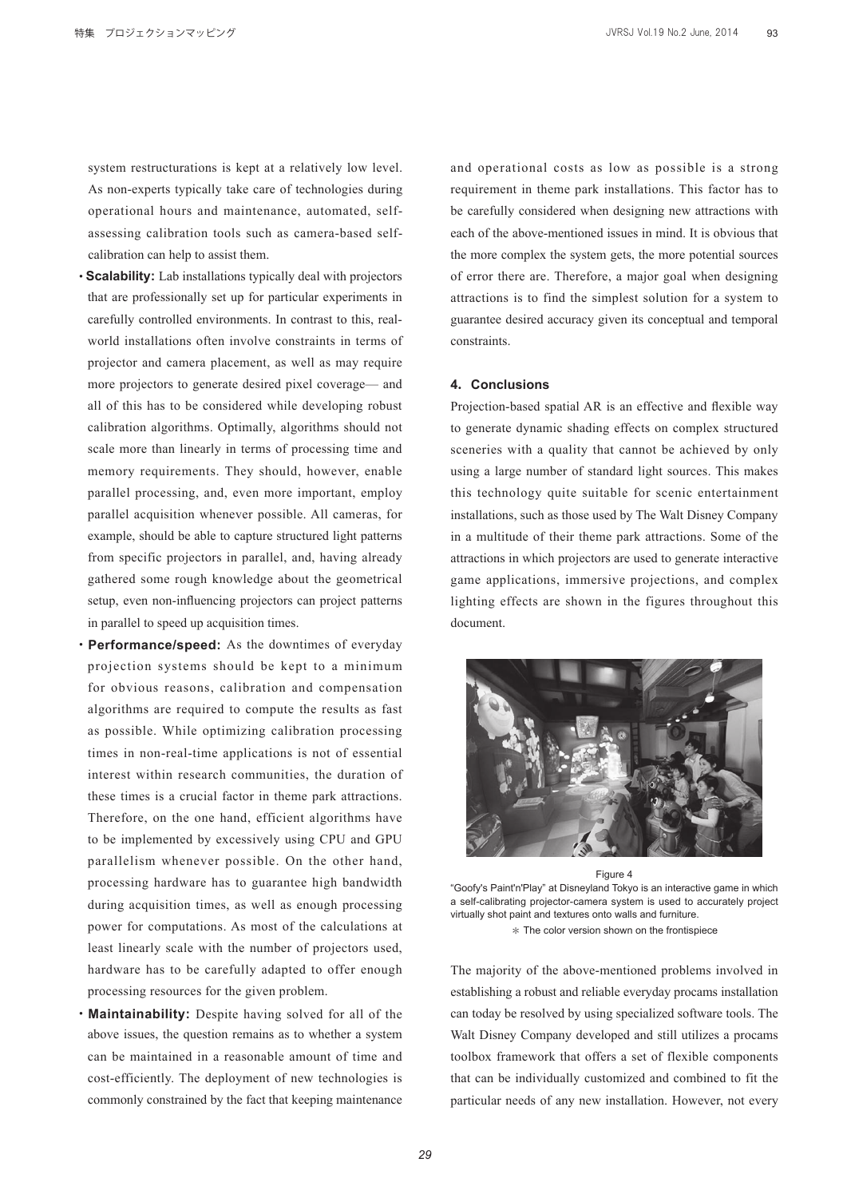system restructurations is kept at a relatively low level. As non-experts typically take care of technologies during operational hours and maintenance, automated, selfassessing calibration tools such as camera-based selfcalibration can help to assist them.

- **・Scalability:** Lab installations typically deal with projectors that are professionally set up for particular experiments in carefully controlled environments. In contrast to this, realworld installations often involve constraints in terms of projector and camera placement, as well as may require more projectors to generate desired pixel coverage— and all of this has to be considered while developing robust calibration algorithms. Optimally, algorithms should not scale more than linearly in terms of processing time and memory requirements. They should, however, enable parallel processing, and, even more important, employ parallel acquisition whenever possible. All cameras, for example, should be able to capture structured light patterns from specific projectors in parallel, and, having already gathered some rough knowledge about the geometrical setup, even non-influencing projectors can project patterns in parallel to speed up acquisition times.
- **・Performance/speed:** As the downtimes of everyday projection systems should be kept to a minimum for obvious reasons, calibration and compensation algorithms are required to compute the results as fast as possible. While optimizing calibration processing times in non-real-time applications is not of essential interest within research communities, the duration of these times is a crucial factor in theme park attractions. Therefore, on the one hand, efficient algorithms have to be implemented by excessively using CPU and GPU parallelism whenever possible. On the other hand, processing hardware has to guarantee high bandwidth during acquisition times, as well as enough processing power for computations. As most of the calculations at least linearly scale with the number of projectors used, hardware has to be carefully adapted to offer enough processing resources for the given problem.
- **・Maintainability:** Despite having solved for all of the above issues, the question remains as to whether a system can be maintained in a reasonable amount of time and cost-efficiently. The deployment of new technologies is commonly constrained by the fact that keeping maintenance

and operational costs as low as possible is a strong requirement in theme park installations. This factor has to be carefully considered when designing new attractions with each of the above-mentioned issues in mind. It is obvious that the more complex the system gets, the more potential sources of error there are. Therefore, a major goal when designing attractions is to find the simplest solution for a system to guarantee desired accuracy given its conceptual and temporal constraints.

## **4.Conclusions**

Projection-based spatial AR is an effective and flexible way to generate dynamic shading effects on complex structured sceneries with a quality that cannot be achieved by only using a large number of standard light sources. This makes this technology quite suitable for scenic entertainment installations, such as those used by The Walt Disney Company in a multitude of their theme park attractions. Some of the attractions in which projectors are used to generate interactive game applications, immersive projections, and complex lighting effects are shown in the figures throughout this document.



Figure 4 "Goofy's Paint'n'Play" at Disneyland Tokyo is an interactive game in which a self-calibrating projector-camera system is used to accurately project virtually shot paint and textures onto walls and furniture.  $*$  The color version shown on the frontispiece

The majority of the above-mentioned problems involved in establishing a robust and reliable everyday procams installation can today be resolved by using specialized software tools. The Walt Disney Company developed and still utilizes a procams toolbox framework that offers a set of flexible components that can be individually customized and combined to fit the particular needs of any new installation. However, not every